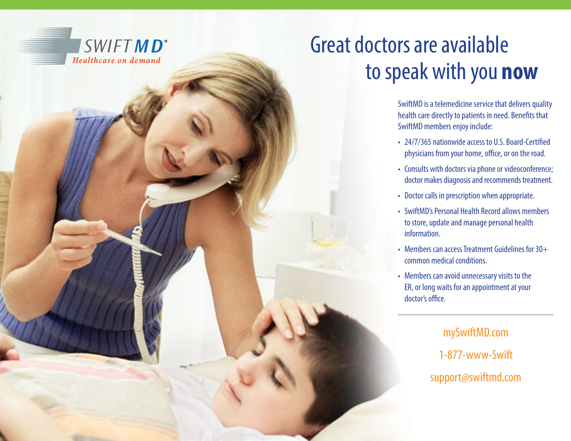

# Great doctors are available to speak with you **now**

SwiftMD is a telemedicine service that delivers quality health care directly to patients in need. Benefts that SwiftMD members enjoy include:

- 24/7/365 nationwide access to U.S. Board-Certifed physicians from your home, office, or on the road.
- Consults with doctors via phone or videoconference; doctor makes diagnosis and recommends treatment.
- Doctor calls in prescription when appropriate.
- SwiftMD's Personal Health Record allows members to store, update and manage personal health information.
- Members can access Treatment Guidelines for 30+ common medical conditions.
- Members can avoid unnecessary visits to the ER, or long waits for an appointment at your doctor's office.

mySwiftMD.com 1-877-www-Swift support@swiftmd.com